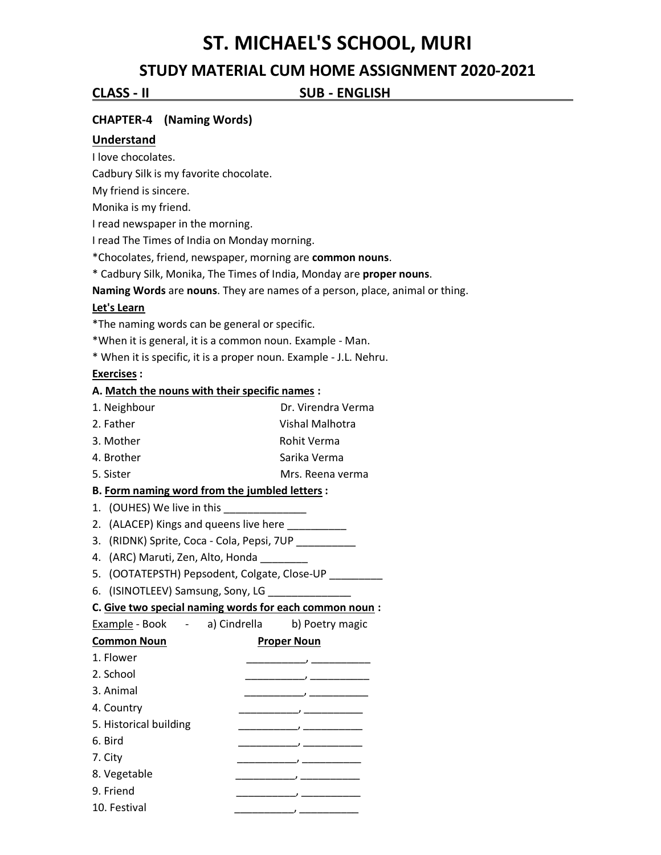# **ST. MICHAEL'S SCHOOL, MURI**

# **STUDY MATERIAL CUM HOME ASSIGNMENT 2020-2021**

**CLASS - II SUB - ENGLISH . .**

### **CHAPTER-4 (Naming Words)**

#### **Understand**

I love chocolates.

Cadbury Silk is my favorite chocolate.

My friend is sincere.

Monika is my friend.

I read newspaper in the morning.

I read The Times of India on Monday morning.

\*Chocolates, friend, newspaper, morning are **common nouns**.

\* Cadbury Silk, Monika, The Times of India, Monday are **proper nouns**.

**Naming Words** are **nouns**. They are names of a person, place, animal or thing.

#### **Let's Learn**

\*The naming words can be general or specific.

\*When it is general, it is a common noun. Example - Man.

\* When it is specific, it is a proper noun. Example - J.L. Nehru.

#### **Exercises :**

#### **A. Match the nouns with their specific names :**

- 1. Neighbour Dr. Virendra Verma
- 2. Father Vishal Malhotra
- 3. Mother **Rohit Verma**
- 4. Brother Sarika Verma
- 5. Sister Mrs. Reena verma

#### **B. Form naming word from the jumbled letters :**

- 1. (OUHES) We live in this
- 2. (ALACEP) Kings and queens live here \_\_\_\_\_\_\_\_\_\_\_
- 3. (RIDNK) Sprite, Coca Cola, Pepsi, 7UP \_\_\_\_\_\_\_\_\_\_\_
- 4. (ARC) Maruti, Zen, Alto, Honda
- 5. (OOTATEPSTH) Pepsodent, Colgate, Close-UP \_\_\_\_\_\_\_\_\_
- 6. (ISINOTLEEV) Samsung, Sony, LG \_\_\_\_\_\_\_\_\_\_\_\_

#### **C. Give two special naming words for each common noun :**

Example - Book - a) Cindrella b) Poetry magic **Common Noun** Proper Noun 1. Flower \_\_\_\_\_\_\_\_\_\_, \_\_\_\_\_\_\_\_\_\_ 2. School \_\_\_\_\_\_\_\_\_\_, \_\_\_\_\_\_\_\_\_\_

- 3. Animal \_\_\_\_\_\_\_\_\_\_, \_\_\_\_\_\_\_\_\_\_
- 4. Country \_\_\_\_\_\_\_\_\_\_, \_\_\_\_\_\_\_\_\_\_
- 5. Historical building \_\_\_\_\_\_\_\_\_\_, \_\_\_\_\_\_\_\_\_\_
- 6. Bird \_\_\_\_\_\_\_\_\_\_, \_\_\_\_\_\_\_\_\_\_
- 7. City \_\_\_\_\_\_\_\_\_\_, \_\_\_\_\_\_\_\_\_\_ 8. Vegetable \_\_\_\_\_\_\_\_\_\_, \_\_\_\_\_\_\_\_\_\_
- 9. Friend \_\_\_\_\_\_\_\_\_\_, \_\_\_\_\_\_\_\_\_\_
- 10. Festival \_\_\_\_\_\_\_\_\_\_, \_\_\_\_\_\_\_\_\_\_